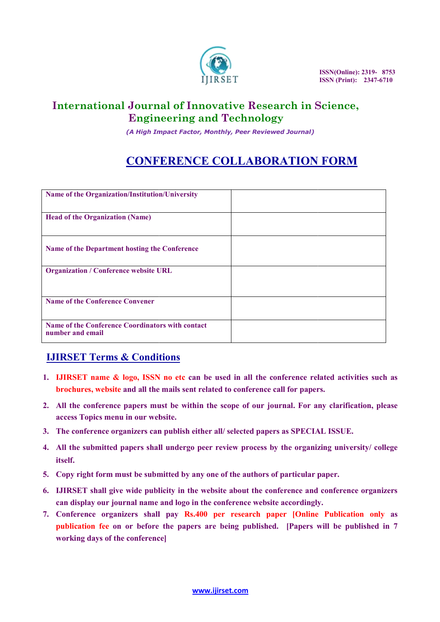

### International Journal of Innovative Research in Science, **Engineering and Technology**

## CONFERENCE COLLABORATION FORM

|    | IJIRSET                                                                                                                                                                                                                 |  | ISSN(Online): 2319-8753<br><b>ISSN</b> (Print): 2347-6710 |
|----|-------------------------------------------------------------------------------------------------------------------------------------------------------------------------------------------------------------------------|--|-----------------------------------------------------------|
|    | <b>International Journal of Innovative Research in Science,</b><br><b>Engineering and Technology</b><br>(A High Impact Factor, Monthly, Peer Reviewed Journal)                                                          |  |                                                           |
|    | <b>CONFERENCE COLLABORATION FORM</b>                                                                                                                                                                                    |  |                                                           |
|    | Name of the Organization/Institution/University                                                                                                                                                                         |  |                                                           |
|    | <b>Head of the Organization (Name)</b>                                                                                                                                                                                  |  |                                                           |
|    | Name of the Department hosting the Conference                                                                                                                                                                           |  |                                                           |
|    | <b>Organization / Conference website URL</b>                                                                                                                                                                            |  |                                                           |
|    | <b>Name of the Conference Convener</b>                                                                                                                                                                                  |  |                                                           |
|    | Name of the Conference Coordinators with contact<br>number and email                                                                                                                                                    |  |                                                           |
|    | <b>IJIRSET Terms &amp; Conditions</b>                                                                                                                                                                                   |  |                                                           |
|    | 1. IJIRSET name & logo, ISSN no etc can be used in all the conference related activities such as<br>brochures, website and all the mails sent related to conference call for papers.                                    |  |                                                           |
|    | 2. All the conference papers must be within the scope of our journal. For any clarification, please<br>access Topics menu in our website.                                                                               |  |                                                           |
|    | 3. The conference organizers can publish either all/selected papers as SPECIAL ISSUE.                                                                                                                                   |  |                                                           |
|    | 4. All the submitted papers shall undergo peer review process by the organizing university/college<br>itself.                                                                                                           |  |                                                           |
| 5. | Copy right form must be submitted by any one of the authors of particular paper.                                                                                                                                        |  |                                                           |
| 6. | <b>IJIRSET</b> shall give wide publicity in the website about the conference and conference organizers<br>can display our journal name and logo in the conference website accordingly.                                  |  |                                                           |
| 7. | Conference organizers shall pay Rs.400 per research paper [Online Publication only as<br>publication fee on or before the papers are being published. [Papers will be published in 7<br>working days of the conference] |  |                                                           |

#### IJIRSET Terms & Conditions &

- 1. IJIRSET name & logo, ISSN no etc can be used in all the conference related activities such as brochures, website and all the mails sent related to conference call for papers.
- 2. All the conference papers must be within the scope of our journal. For any clarification, please access Topics menu in our website. hures, website and all the mails sent related to conference call for papers.<br>he conference papers must be within the scope of our journal. For any clarification, please<br>ss Topics menu in our website.<br>conference organizers
- 3. The conference organizers can publish either all/ selected papers as SPECIAL ISSUE.
- 4. All the submitted papers shall undergo peer review process by the organizing university/ college itself.
- 5. Copy right form must be submitted by any one of the authors of particular paper.
- 5. Copy right form must be submitted by any one of the authors of particular paper.<br>6. IJIRSET shall give wide publicity in the website about the conference and conference organizers can display our journal name and logo in the conference website accordingly. 6. IJIRSET shall give wide publicity in the website about the conference and conference organizers<br>can display our journal name and logo in the conference website accordingly.<br>7. Conference organizers shall pay Rs.400 per
- publication fee on or before the papers are being published. [Papers will be published in 7 working days of the conference]

www.ijirset.com